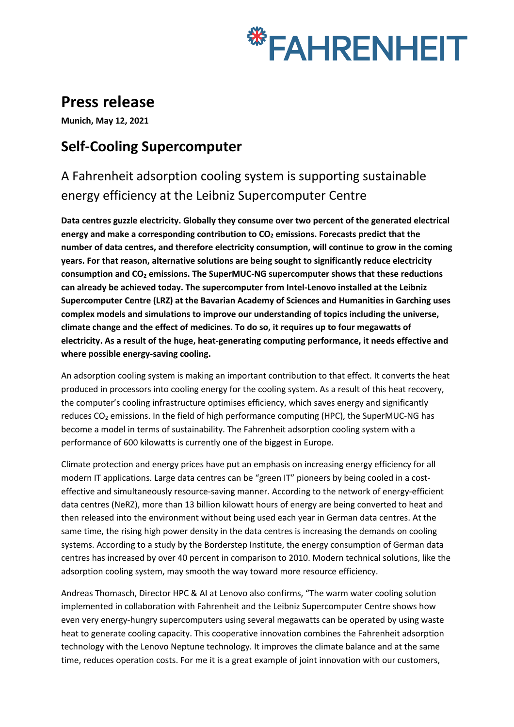

# **Press release**

**Munich, May 12, 2021**

## **Self-Cooling Supercomputer**

A Fahrenheit adsorption cooling system is supporting sustainable energy efficiency at the Leibniz Supercomputer Centre

**Data centres guzzle electricity. Globally they consume over two percent of the generated electrical**  energy and make a corresponding contribution to CO<sub>2</sub> emissions. Forecasts predict that the **number of data centres, and therefore electricity consumption, will continue to grow in the coming years. For that reason, alternative solutions are being sought to significantly reduce electricity consumption and CO2 emissions. The SuperMUC-NG supercomputer shows that these reductions can already be achieved today. The supercomputer from Intel-Lenovo installed at the Leibniz Supercomputer Centre (LRZ) at the Bavarian Academy of Sciences and Humanities in Garching uses complex models and simulations to improve our understanding of topics including the universe, climate change and the effect of medicines. To do so, it requires up to four megawatts of electricity. As a result of the huge, heat-generating computing performance, it needs effective and where possible energy-saving cooling.** 

An adsorption cooling system is making an important contribution to that effect. It converts the heat produced in processors into cooling energy for the cooling system. As a result of this heat recovery, the computer's cooling infrastructure optimises efficiency, which saves energy and significantly reduces  $CO<sub>2</sub>$  emissions. In the field of high performance computing (HPC), the SuperMUC-NG has become a model in terms of sustainability. The Fahrenheit adsorption cooling system with a performance of 600 kilowatts is currently one of the biggest in Europe.

Climate protection and energy prices have put an emphasis on increasing energy efficiency for all modern IT applications. Large data centres can be "green IT" pioneers by being cooled in a costeffective and simultaneously resource-saving manner. According to the network of energy-efficient data centres (NeRZ), more than 13 billion kilowatt hours of energy are being converted to heat and then released into the environment without being used each year in German data centres. At the same time, the rising high power density in the data centres is increasing the demands on cooling systems. According to a study by the Borderstep Institute, the energy consumption of German data centres has increased by over 40 percent in comparison to 2010. Modern technical solutions, like the adsorption cooling system, may smooth the way toward more resource efficiency.

Andreas Thomasch, Director HPC & AI at Lenovo also confirms, "The warm water cooling solution implemented in collaboration with Fahrenheit and the Leibniz Supercomputer Centre shows how even very energy-hungry supercomputers using several megawatts can be operated by using waste heat to generate cooling capacity. This cooperative innovation combines the Fahrenheit adsorption technology with the Lenovo Neptune technology. It improves the climate balance and at the same time, reduces operation costs. For me it is a great example of joint innovation with our customers,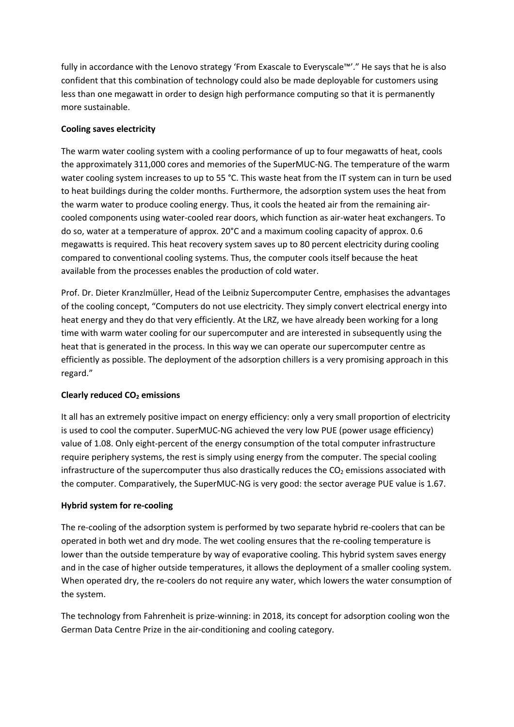fully in accordance with the Lenovo strategy 'From Exascale to Everyscale™'." He says that he is also confident that this combination of technology could also be made deployable for customers using less than one megawatt in order to design high performance computing so that it is permanently more sustainable.

## **Cooling saves electricity**

The warm water cooling system with a cooling performance of up to four megawatts of heat, cools the approximately 311,000 cores and memories of the SuperMUC-NG. The temperature of the warm water cooling system increases to up to 55 °C. This waste heat from the IT system can in turn be used to heat buildings during the colder months. Furthermore, the adsorption system uses the heat from the warm water to produce cooling energy. Thus, it cools the heated air from the remaining aircooled components using water-cooled rear doors, which function as air-water heat exchangers. To do so, water at a temperature of approx. 20°C and a maximum cooling capacity of approx. 0.6 megawatts is required. This heat recovery system saves up to 80 percent electricity during cooling compared to conventional cooling systems. Thus, the computer cools itself because the heat available from the processes enables the production of cold water.

Prof. Dr. Dieter Kranzlmüller, Head of the Leibniz Supercomputer Centre, emphasises the advantages of the cooling concept, "Computers do not use electricity. They simply convert electrical energy into heat energy and they do that very efficiently. At the LRZ, we have already been working for a long time with warm water cooling for our supercomputer and are interested in subsequently using the heat that is generated in the process. In this way we can operate our supercomputer centre as efficiently as possible. The deployment of the adsorption chillers is a very promising approach in this regard."

## **Clearly reduced CO2 emissions**

It all has an extremely positive impact on energy efficiency: only a very small proportion of electricity is used to cool the computer. SuperMUC-NG achieved the very low PUE (power usage efficiency) value of 1.08. Only eight-percent of the energy consumption of the total computer infrastructure require periphery systems, the rest is simply using energy from the computer. The special cooling infrastructure of the supercomputer thus also drastically reduces the  $CO<sub>2</sub>$  emissions associated with the computer. Comparatively, the SuperMUC-NG is very good: the sector average PUE value is 1.67.

## **Hybrid system for re-cooling**

The re-cooling of the adsorption system is performed by two separate hybrid re-coolers that can be operated in both wet and dry mode. The wet cooling ensures that the re-cooling temperature is lower than the outside temperature by way of evaporative cooling. This hybrid system saves energy and in the case of higher outside temperatures, it allows the deployment of a smaller cooling system. When operated dry, the re-coolers do not require any water, which lowers the water consumption of the system.

The technology from Fahrenheit is prize-winning: in 2018, its concept for adsorption cooling won the German Data Centre Prize in the air-conditioning and cooling category.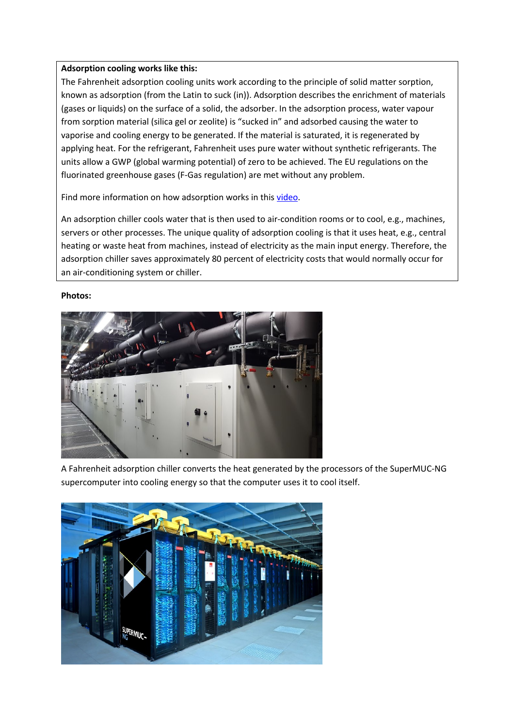### **Adsorption cooling works like this:**

The Fahrenheit adsorption cooling units work according to the principle of solid matter sorption, known as adsorption (from the Latin to suck (in)). Adsorption describes the enrichment of materials (gases or liquids) on the surface of a solid, the adsorber. In the adsorption process, water vapour from sorption material (silica gel or zeolite) is "sucked in" and adsorbed causing the water to vaporise and cooling energy to be generated. If the material is saturated, it is regenerated by applying heat. For the refrigerant, Fahrenheit uses pure water without synthetic refrigerants. The units allow a GWP (global warming potential) of zero to be achieved. The EU regulations on the fluorinated greenhouse gases (F-Gas regulation) are met without any problem.

Find more information on how adsorption works in this video.

An adsorption chiller cools water that is then used to air-condition rooms or to cool, e.g., machines, servers or other processes. The unique quality of adsorption cooling is that it uses heat, e.g., central heating or waste heat from machines, instead of electricity as the main input energy. Therefore, the adsorption chiller saves approximately 80 percent of electricity costs that would normally occur for an air-conditioning system or chiller.

#### **Photos:**



A Fahrenheit adsorption chiller converts the heat generated by the processors of the SuperMUC-NG supercomputer into cooling energy so that the computer uses it to cool itself.